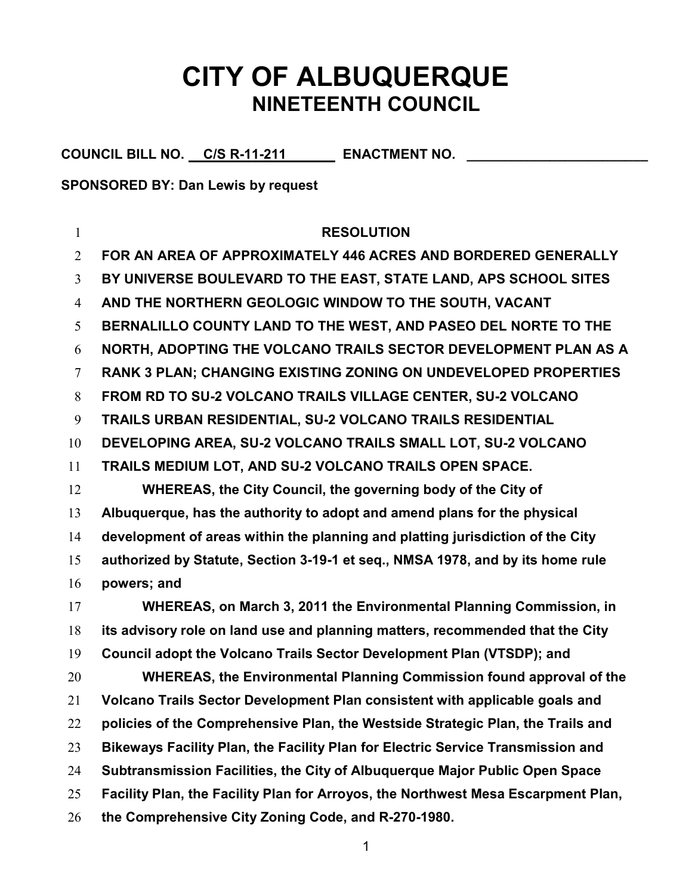## CITY OF ALBUQUERQUE NINETEENTH COUNCIL

COUNCIL BILL NO. C/S R-11-211 ENACTMENT NO. \_\_\_\_\_\_

SPONSORED BY: Dan Lewis by request

## 1 RESOLUTION FOR AN AREA OF APPROXIMATELY 446 ACRES AND BORDERED GENERALLY BY UNIVERSE BOULEVARD TO THE EAST, STATE LAND, APS SCHOOL SITES AND THE NORTHERN GEOLOGIC WINDOW TO THE SOUTH, VACANT BERNALILLO COUNTY LAND TO THE WEST, AND PASEO DEL NORTE TO THE NORTH, ADOPTING THE VOLCANO TRAILS SECTOR DEVELOPMENT PLAN AS A RANK 3 PLAN; CHANGING EXISTING ZONING ON UNDEVELOPED PROPERTIES FROM RD TO SU-2 VOLCANO TRAILS VILLAGE CENTER, SU-2 VOLCANO TRAILS URBAN RESIDENTIAL, SU-2 VOLCANO TRAILS RESIDENTIAL DEVELOPING AREA, SU-2 VOLCANO TRAILS SMALL LOT, SU-2 VOLCANO TRAILS MEDIUM LOT, AND SU-2 VOLCANO TRAILS OPEN SPACE. WHEREAS, the City Council, the governing body of the City of Albuquerque, has the authority to adopt and amend plans for the physical development of areas within the planning and platting jurisdiction of the City authorized by Statute, Section 3-19-1 et seq., NMSA 1978, and by its home rule powers; and WHEREAS, on March 3, 2011 the Environmental Planning Commission, in its advisory role on land use and planning matters, recommended that the City Council adopt the Volcano Trails Sector Development Plan (VTSDP); and WHEREAS, the Environmental Planning Commission found approval of the Volcano Trails Sector Development Plan consistent with applicable goals and 22 policies of the Comprehensive Plan, the Westside Strategic Plan, the Trails and Bikeways Facility Plan, the Facility Plan for Electric Service Transmission and Subtransmission Facilities, the City of Albuquerque Major Public Open Space Facility Plan, the Facility Plan for Arroyos, the Northwest Mesa Escarpment Plan, 26 the Comprehensive City Zoning Code, and R-270-1980.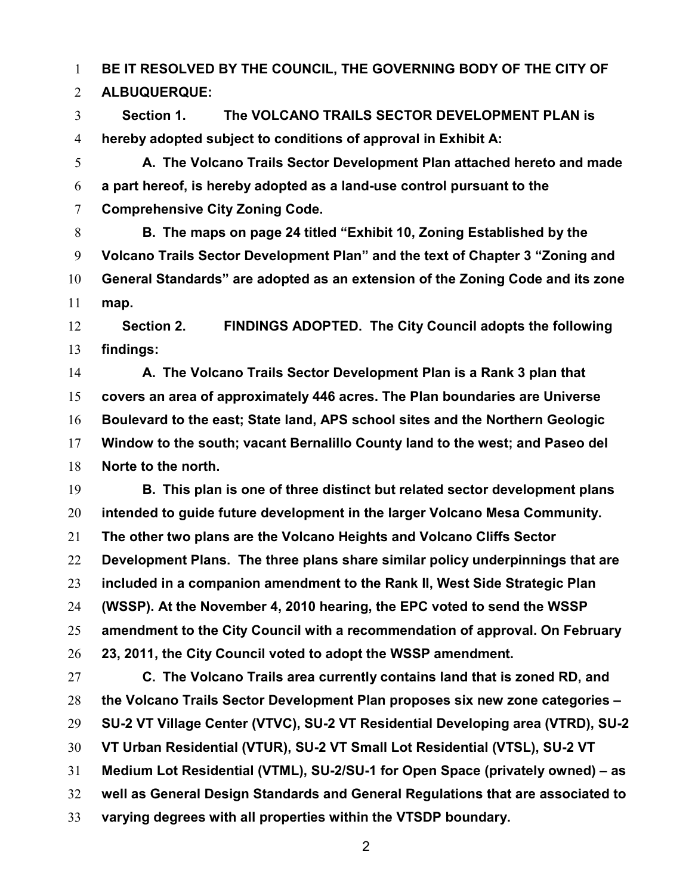BE IT RESOLVED BY THE COUNCIL, THE GOVERNING BODY OF THE CITY OF

ALBUQUERQUE:

Section 1. The VOLCANO TRAILS SECTOR DEVELOPMENT PLAN is hereby adopted subject to conditions of approval in Exhibit A:

A. The Volcano Trails Sector Development Plan attached hereto and made a part hereof, is hereby adopted as a land-use control pursuant to the Comprehensive City Zoning Code.

B. The maps on page 24 titled "Exhibit 10, Zoning Established by the Volcano Trails Sector Development Plan" and the text of Chapter 3 "Zoning and General Standards" are adopted as an extension of the Zoning Code and its zone map.

12 Section 2. FINDINGS ADOPTED. The City Council adopts the following findings:

**A. The Volcano Trails Sector Development Plan is a Rank 3 plan that** covers an area of approximately 446 acres. The Plan boundaries are Universe Boulevard to the east; State land, APS school sites and the Northern Geologic Window to the south; vacant Bernalillo County land to the west; and Paseo del Norte to the north.

B. This plan is one of three distinct but related sector development plans intended to guide future development in the larger Volcano Mesa Community. The other two plans are the Volcano Heights and Volcano Cliffs Sector 22 Development Plans. The three plans share similar policy underpinnings that are included in a companion amendment to the Rank II, West Side Strategic Plan (WSSP). At the November 4, 2010 hearing, the EPC voted to send the WSSP amendment to the City Council with a recommendation of approval. On February 23, 2011, the City Council voted to adopt the WSSP amendment.

C. The Volcano Trails area currently contains land that is zoned RD, and the Volcano Trails Sector Development Plan proposes six new zone categories – SU-2 VT Village Center (VTVC), SU-2 VT Residential Developing area (VTRD), SU-2 VT Urban Residential (VTUR), SU-2 VT Small Lot Residential (VTSL), SU-2 VT Medium Lot Residential (VTML), SU-2/SU-1 for Open Space (privately owned) – as well as General Design Standards and General Regulations that are associated to varying degrees with all properties within the VTSDP boundary.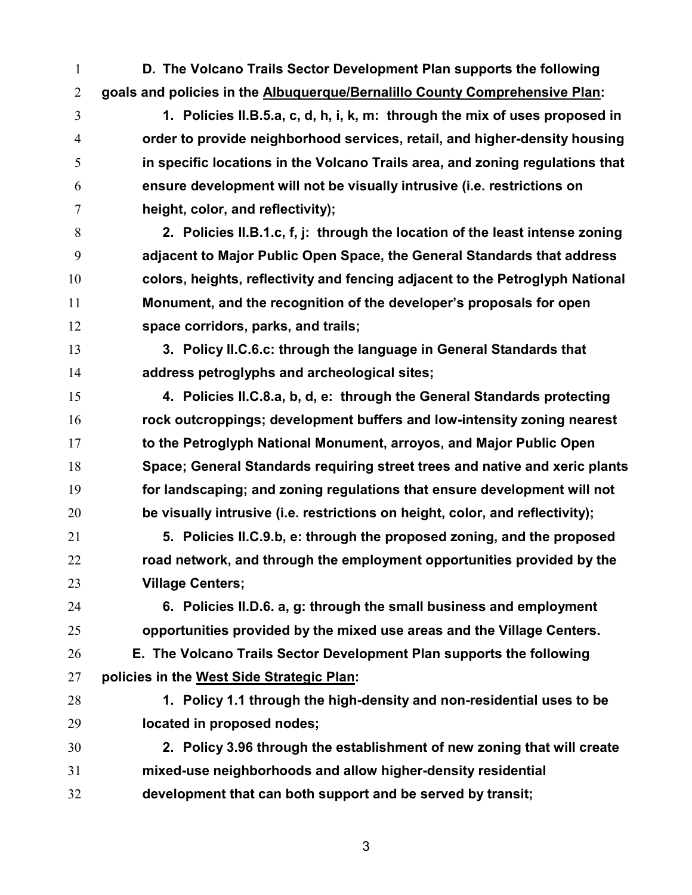- D. The Volcano Trails Sector Development Plan supports the following goals and policies in the Albuquerque/Bernalillo County Comprehensive Plan:
- 1. Policies II.B.5.a, c, d, h, i, k, m: through the mix of uses proposed in order to provide neighborhood services, retail, and higher-density housing in specific locations in the Volcano Trails area, and zoning regulations that ensure development will not be visually intrusive (i.e. restrictions on height, color, and reflectivity);
- 2. Policies II.B.1.c, f, j: through the location of the least intense zoning adjacent to Major Public Open Space, the General Standards that address colors, heights, reflectivity and fencing adjacent to the Petroglyph National Monument, and the recognition of the developer's proposals for open space corridors, parks, and trails;
- 3. Policy II.C.6.c: through the language in General Standards that address petroglyphs and archeological sites;
- 4. Policies II.C.8.a, b, d, e: through the General Standards protecting rock outcroppings; development buffers and low-intensity zoning nearest 17 to the Petroglyph National Monument, arroyos, and Major Public Open Space; General Standards requiring street trees and native and xeric plants for landscaping; and zoning regulations that ensure development will not be visually intrusive (i.e. restrictions on height, color, and reflectivity);
- 5. Policies II.C.9.b, e: through the proposed zoning, and the proposed 22 road network, and through the employment opportunities provided by the Village Centers;
- 

6. Policies II.D.6. a, g: through the small business and employment opportunities provided by the mixed use areas and the Village Centers.

- E. The Volcano Trails Sector Development Plan supports the following policies in the West Side Strategic Plan:
- 28 1. Policy 1.1 through the high-density and non-residential uses to be located in proposed nodes;
- 2. Policy 3.96 through the establishment of new zoning that will create mixed-use neighborhoods and allow higher-density residential development that can both support and be served by transit;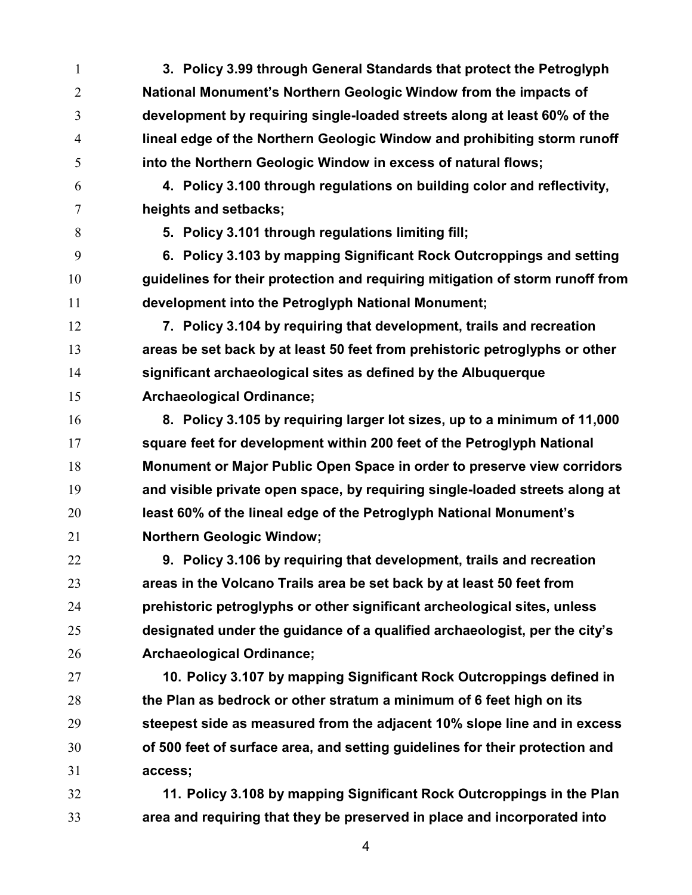3. Policy 3.99 through General Standards that protect the Petroglyph National Monument's Northern Geologic Window from the impacts of development by requiring single-loaded streets along at least 60% of the lineal edge of the Northern Geologic Window and prohibiting storm runoff into the Northern Geologic Window in excess of natural flows; 4. Policy 3.100 through regulations on building color and reflectivity, heights and setbacks; 5. Policy 3.101 through regulations limiting fill; 6. Policy 3.103 by mapping Significant Rock Outcroppings and setting guidelines for their protection and requiring mitigation of storm runoff from development into the Petroglyph National Monument; 7. Policy 3.104 by requiring that development, trails and recreation areas be set back by at least 50 feet from prehistoric petroglyphs or other significant archaeological sites as defined by the Albuquerque Archaeological Ordinance; 8. Policy 3.105 by requiring larger lot sizes, up to a minimum of 11,000 square feet for development within 200 feet of the Petroglyph National Monument or Major Public Open Space in order to preserve view corridors and visible private open space, by requiring single-loaded streets along at least 60% of the lineal edge of the Petroglyph National Monument's Northern Geologic Window; 22 9. Policy 3.106 by requiring that development, trails and recreation areas in the Volcano Trails area be set back by at least 50 feet from prehistoric petroglyphs or other significant archeological sites, unless designated under the guidance of a qualified archaeologist, per the city's Archaeological Ordinance; 10. Policy 3.107 by mapping Significant Rock Outcroppings defined in the Plan as bedrock or other stratum a minimum of 6 feet high on its steepest side as measured from the adjacent 10% slope line and in excess of 500 feet of surface area, and setting guidelines for their protection and access; 11. Policy 3.108 by mapping Significant Rock Outcroppings in the Plan area and requiring that they be preserved in place and incorporated into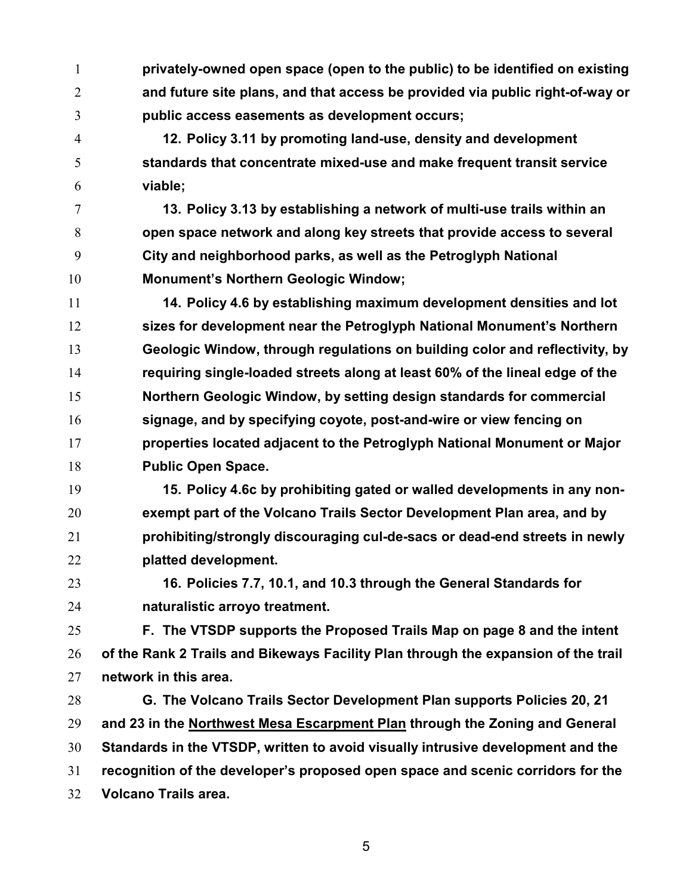privately-owned open space (open to the public) to be identified on existing and future site plans, and that access be provided via public right-of-way or public access easements as development occurs;

12. Policy 3.11 by promoting land-use, density and development standards that concentrate mixed-use and make frequent transit service viable;

13. Policy 3.13 by establishing a network of multi-use trails within an open space network and along key streets that provide access to several City and neighborhood parks, as well as the Petroglyph National Monument's Northern Geologic Window;

- 11 14. Policy 4.6 by establishing maximum development densities and lot sizes for development near the Petroglyph National Monument's Northern Geologic Window, through regulations on building color and reflectivity, by requiring single-loaded streets along at least 60% of the lineal edge of the Northern Geologic Window, by setting design standards for commercial signage, and by specifying coyote, post-and-wire or view fencing on properties located adjacent to the Petroglyph National Monument or Major Public Open Space.
- 15. Policy 4.6c by prohibiting gated or walled developments in any non-exempt part of the Volcano Trails Sector Development Plan area, and by prohibiting/strongly discouraging cul-de-sacs or dead-end streets in newly platted development.
- 16. Policies 7.7, 10.1, and 10.3 through the General Standards for naturalistic arroyo treatment.

F. The VTSDP supports the Proposed Trails Map on page 8 and the intent 26 of the Rank 2 Trails and Bikeways Facility Plan through the expansion of the trail network in this area.

G. The Volcano Trails Sector Development Plan supports Policies 20, 21 and 23 in the Northwest Mesa Escarpment Plan through the Zoning and General Standards in the VTSDP, written to avoid visually intrusive development and the recognition of the developer's proposed open space and scenic corridors for the Volcano Trails area.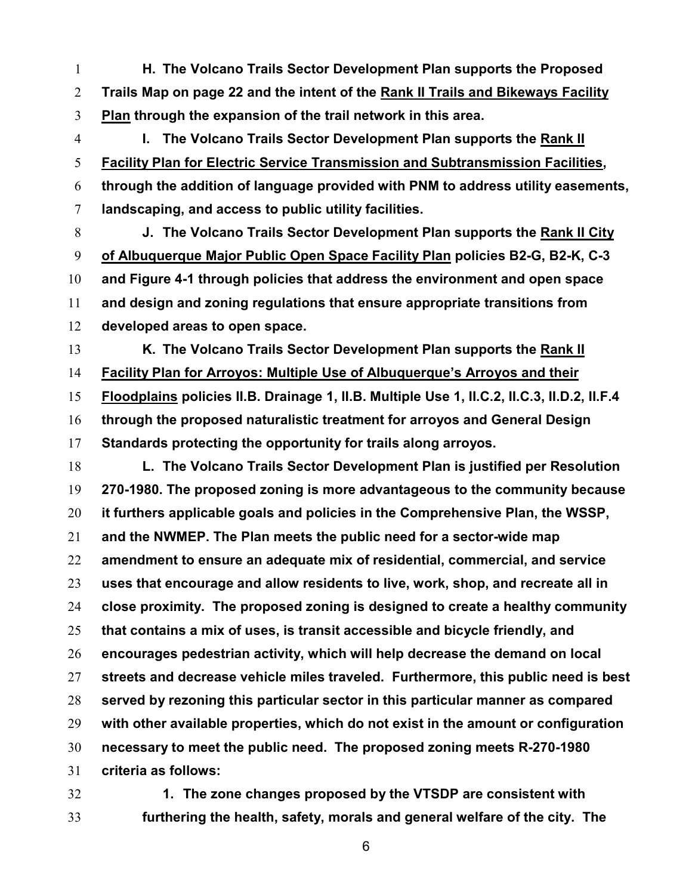1 H. The Volcano Trails Sector Development Plan supports the Proposed Trails Map on page 22 and the intent of the Rank II Trails and Bikeways Facility Plan through the expansion of the trail network in this area.

I. The Volcano Trails Sector Development Plan supports the Rank II Facility Plan for Electric Service Transmission and Subtransmission Facilities, through the addition of language provided with PNM to address utility easements, landscaping, and access to public utility facilities.

J. The Volcano Trails Sector Development Plan supports the Rank II City of Albuquerque Major Public Open Space Facility Plan policies B2-G, B2-K, C-3 and Figure 4-1 through policies that address the environment and open space and design and zoning regulations that ensure appropriate transitions from developed areas to open space.

13 K. The Volcano Trails Sector Development Plan supports the Rank II Facility Plan for Arroyos: Multiple Use of Albuquerque's Arroyos and their Floodplains policies II.B. Drainage 1, II.B. Multiple Use 1, II.C.2, II.C.3, II.D.2, II.F.4

through the proposed naturalistic treatment for arroyos and General Design Standards protecting the opportunity for trails along arroyos.

L. The Volcano Trails Sector Development Plan is justified per Resolution 270-1980. The proposed zoning is more advantageous to the community because it furthers applicable goals and policies in the Comprehensive Plan, the WSSP, and the NWMEP. The Plan meets the public need for a sector-wide map amendment to ensure an adequate mix of residential, commercial, and service uses that encourage and allow residents to live, work, shop, and recreate all in close proximity. The proposed zoning is designed to create a healthy community that contains a mix of uses, is transit accessible and bicycle friendly, and encourages pedestrian activity, which will help decrease the demand on local streets and decrease vehicle miles traveled. Furthermore, this public need is best served by rezoning this particular sector in this particular manner as compared with other available properties, which do not exist in the amount or configuration necessary to meet the public need. The proposed zoning meets R-270-1980 criteria as follows:

1. The zone changes proposed by the VTSDP are consistent with furthering the health, safety, morals and general welfare of the city. The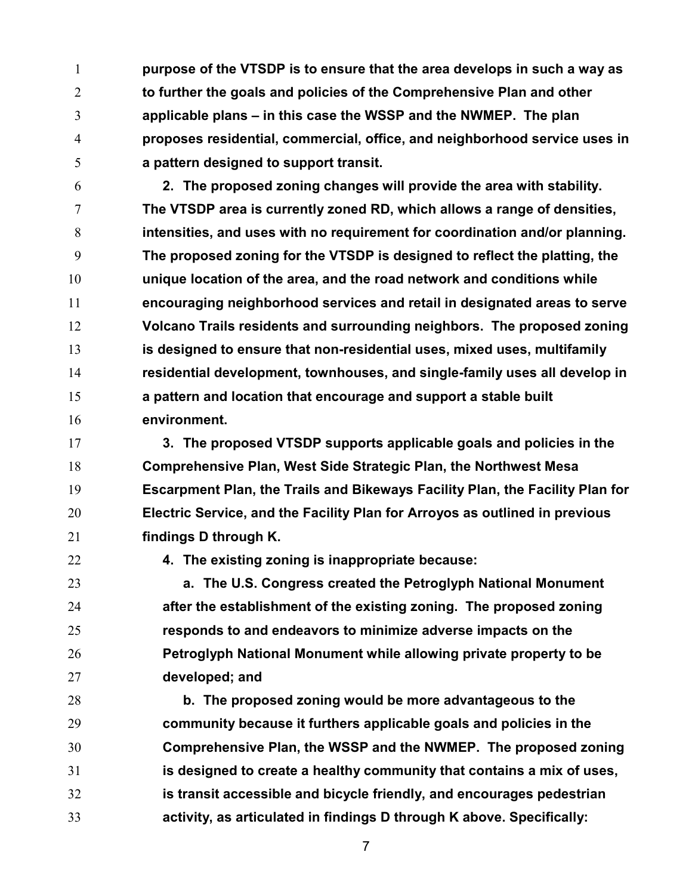1 purpose of the VTSDP is to ensure that the area develops in such a way as 2 to further the goals and policies of the Comprehensive Plan and other applicable plans – in this case the WSSP and the NWMEP. The plan proposes residential, commercial, office, and neighborhood service uses in a pattern designed to support transit.

2. The proposed zoning changes will provide the area with stability. The VTSDP area is currently zoned RD, which allows a range of densities, intensities, and uses with no requirement for coordination and/or planning. The proposed zoning for the VTSDP is designed to reflect the platting, the unique location of the area, and the road network and conditions while encouraging neighborhood services and retail in designated areas to serve Volcano Trails residents and surrounding neighbors. The proposed zoning is designed to ensure that non-residential uses, mixed uses, multifamily residential development, townhouses, and single-family uses all develop in a pattern and location that encourage and support a stable built environment.

3. The proposed VTSDP supports applicable goals and policies in the Comprehensive Plan, West Side Strategic Plan, the Northwest Mesa Escarpment Plan, the Trails and Bikeways Facility Plan, the Facility Plan for Electric Service, and the Facility Plan for Arroyos as outlined in previous findings D through K.

4. The existing zoning is inappropriate because:

a. The U.S. Congress created the Petroglyph National Monument **after the establishment of the existing zoning. The proposed zoning** responds to and endeavors to minimize adverse impacts on the Petroglyph National Monument while allowing private property to be developed; and

b. The proposed zoning would be more advantageous to the community because it furthers applicable goals and policies in the Comprehensive Plan, the WSSP and the NWMEP. The proposed zoning is designed to create a healthy community that contains a mix of uses, is transit accessible and bicycle friendly, and encourages pedestrian activity, as articulated in findings D through K above. Specifically: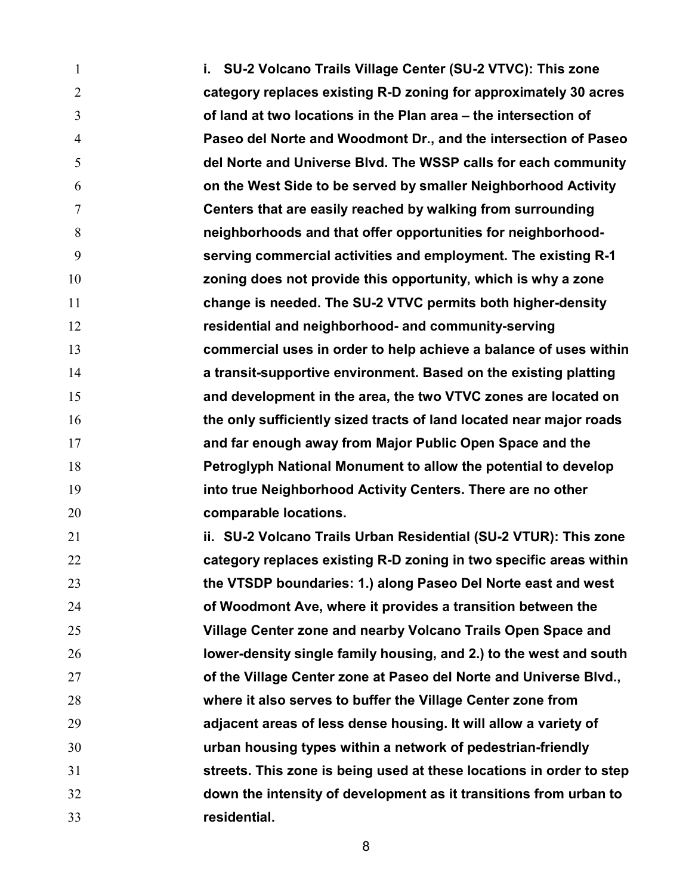**i.** SU-2 Volcano Trails Village Center (SU-2 VTVC): This zone category replaces existing R-D zoning for approximately 30 acres of land at two locations in the Plan area – the intersection of Paseo del Norte and Woodmont Dr., and the intersection of Paseo del Norte and Universe Blvd. The WSSP calls for each community on the West Side to be served by smaller Neighborhood Activity Centers that are easily reached by walking from surrounding neighborhoods and that offer opportunities for neighborhood-serving commercial activities and employment. The existing R-1 zoning does not provide this opportunity, which is why a zone change is needed. The SU-2 VTVC permits both higher-density residential and neighborhood- and community-serving commercial uses in order to help achieve a balance of uses within **a transit-supportive environment. Based on the existing platting** and development in the area, the two VTVC zones are located on the only sufficiently sized tracts of land located near major roads and far enough away from Major Public Open Space and the Petroglyph National Monument to allow the potential to develop into true Neighborhood Activity Centers. There are no other **comparable locations.** ii. SU-2 Volcano Trails Urban Residential (SU-2 VTUR): This zone 22 category replaces existing R-D zoning in two specific areas within the VTSDP boundaries: 1.) along Paseo Del Norte east and west of Woodmont Ave, where it provides a transition between the Village Center zone and nearby Volcano Trails Open Space and lower-density single family housing, and 2.) to the west and south **of the Village Center zone at Paseo del Norte and Universe Blvd.,** where it also serves to buffer the Village Center zone from adjacent areas of less dense housing. It will allow a variety of urban housing types within a network of pedestrian-friendly streets. This zone is being used at these locations in order to step down the intensity of development as it transitions from urban to residential.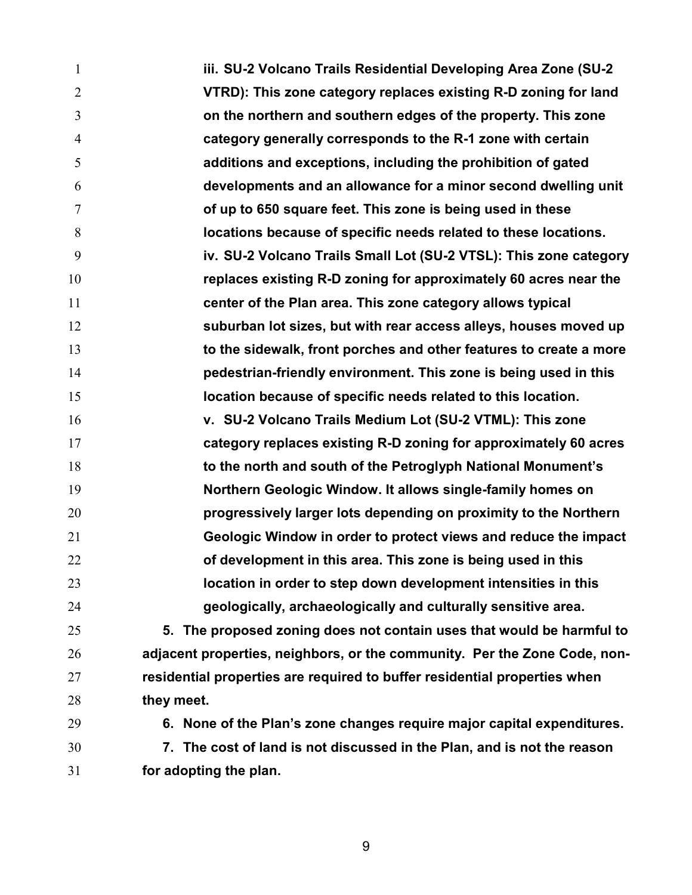iii. SU-2 Volcano Trails Residential Developing Area Zone (SU-2 VTRD): This zone category replaces existing R-D zoning for land on the northern and southern edges of the property. This zone category generally corresponds to the R-1 zone with certain additions and exceptions, including the prohibition of gated developments and an allowance for a minor second dwelling unit of up to 650 square feet. This zone is being used in these locations because of specific needs related to these locations. iv. SU-2 Volcano Trails Small Lot (SU-2 VTSL): This zone category replaces existing R-D zoning for approximately 60 acres near the center of the Plan area. This zone category allows typical 12 suburban lot sizes, but with rear access alleys, houses moved up 13 to the sidewalk, front porches and other features to create a more pedestrian-friendly environment. This zone is being used in this location because of specific needs related to this location. v. SU-2 Volcano Trails Medium Lot (SU-2 VTML): This zone category replaces existing R-D zoning for approximately 60 acres 18 to the north and south of the Petroglyph National Monument's Northern Geologic Window. It allows single-family homes on progressively larger lots depending on proximity to the Northern Geologic Window in order to protect views and reduce the impact **of development in this area. This zone is being used in this** location in order to step down development intensities in this geologically, archaeologically and culturally sensitive area. 5. The proposed zoning does not contain uses that would be harmful to adjacent properties, neighbors, or the community. Per the Zone Code, non-residential properties are required to buffer residential properties when 28 they meet. 6. None of the Plan's zone changes require major capital expenditures. 7. The cost of land is not discussed in the Plan, and is not the reason for adopting the plan.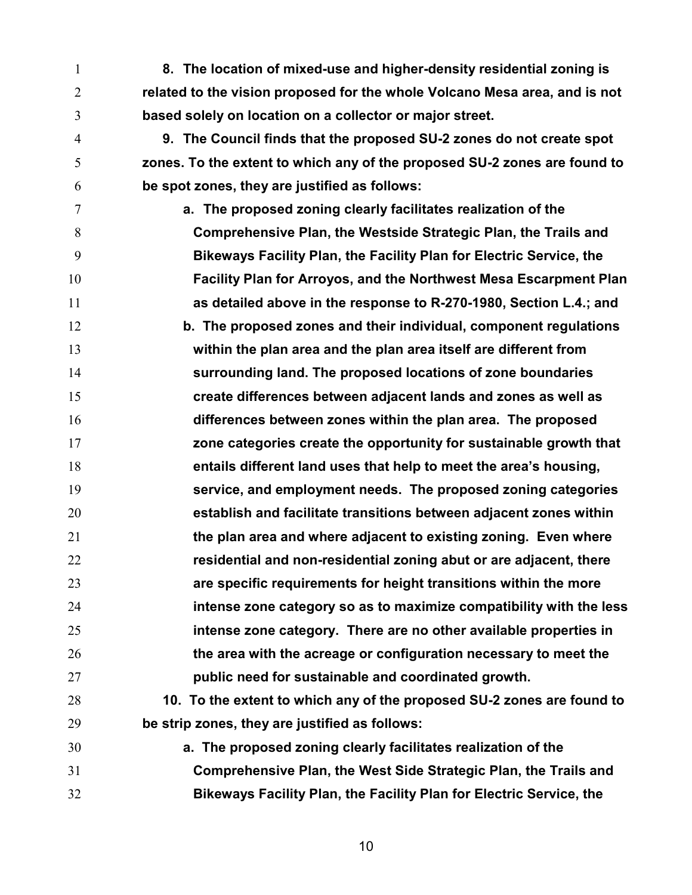8. The location of mixed-use and higher-density residential zoning is related to the vision proposed for the whole Volcano Mesa area, and is not based solely on location on a collector or major street.

9. The Council finds that the proposed SU-2 zones do not create spot zones. To the extent to which any of the proposed SU-2 zones are found to be spot zones, they are justified as follows:

a. The proposed zoning clearly facilitates realization of the Comprehensive Plan, the Westside Strategic Plan, the Trails and Bikeways Facility Plan, the Facility Plan for Electric Service, the Facility Plan for Arroyos, and the Northwest Mesa Escarpment Plan as detailed above in the response to R-270-1980, Section L.4.; and 12 b. The proposed zones and their individual, component regulations within the plan area and the plan area itself are different from surrounding land. The proposed locations of zone boundaries create differences between adjacent lands and zones as well as differences between zones within the plan area. The proposed zone categories create the opportunity for sustainable growth that entails different land uses that help to meet the area's housing, service, and employment needs. The proposed zoning categories establish and facilitate transitions between adjacent zones within **the plan area and where adjacent to existing zoning. Even where residential and non-residential zoning abut or are adjacent, there** are specific requirements for height transitions within the more intense zone category so as to maximize compatibility with the less **intense zone category. There are no other available properties in** 26 the area with the acreage or configuration necessary to meet the public need for sustainable and coordinated growth.

10. To the extent to which any of the proposed SU-2 zones are found to be strip zones, they are justified as follows:

a. The proposed zoning clearly facilitates realization of the Comprehensive Plan, the West Side Strategic Plan, the Trails and Bikeways Facility Plan, the Facility Plan for Electric Service, the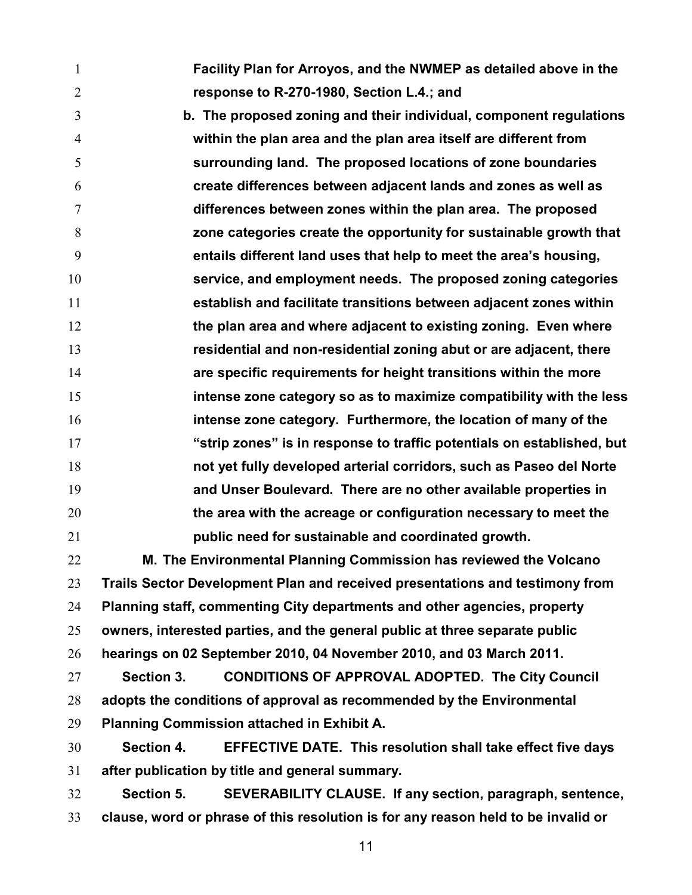Facility Plan for Arroyos, and the NWMEP as detailed above in the response to R-270-1980, Section L.4.; and

b. The proposed zoning and their individual, component regulations within the plan area and the plan area itself are different from surrounding land. The proposed locations of zone boundaries create differences between adjacent lands and zones as well as differences between zones within the plan area. The proposed zone categories create the opportunity for sustainable growth that entails different land uses that help to meet the area's housing, service, and employment needs. The proposed zoning categories establish and facilitate transitions between adjacent zones within **the plan area and where adjacent to existing zoning. Even where** residential and non-residential zoning abut or are adjacent, there are specific requirements for height transitions within the more intense zone category so as to maximize compatibility with the less intense zone category. Furthermore, the location of many of the "strip zones" is in response to traffic potentials on established, but not yet fully developed arterial corridors, such as Paseo del Norte and Unser Boulevard. There are no other available properties in **the area with the acreage or configuration necessary to meet the** public need for sustainable and coordinated growth.

M. The Environmental Planning Commission has reviewed the Volcano Trails Sector Development Plan and received presentations and testimony from Planning staff, commenting City departments and other agencies, property owners, interested parties, and the general public at three separate public hearings on 02 September 2010, 04 November 2010, and 03 March 2011.

Section 3. CONDITIONS OF APPROVAL ADOPTED. The City Council adopts the conditions of approval as recommended by the Environmental Planning Commission attached in Exhibit A.

Section 4. EFFECTIVE DATE. This resolution shall take effect five days after publication by title and general summary.

Section 5. SEVERABILITY CLAUSE. If any section, paragraph, sentence, clause, word or phrase of this resolution is for any reason held to be invalid or